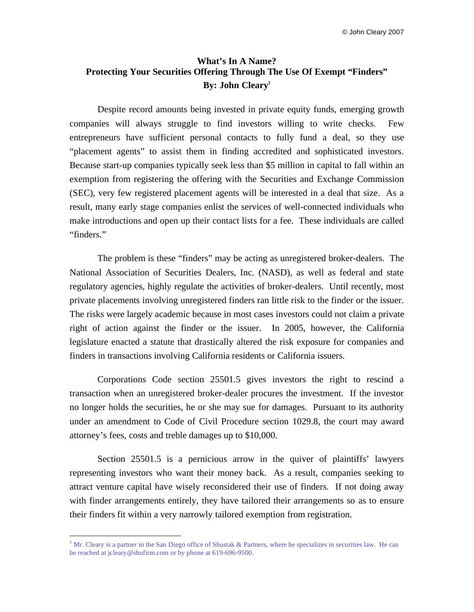# **What's In A Name? Protecting Your Securities Offering Through The Use Of Exempt "Finders" By: John Cleary<sup>1</sup>**

Despite record amounts being invested in private equity funds, emerging growth companies will always struggle to find investors willing to write checks. Few entrepreneurs have sufficient personal contacts to fully fund a deal, so they use "placement agents" to assist them in finding accredited and sophisticated investors. Because start-up companies typically seek less than \$5 million in capital to fall within an exemption from registering the offering with the Securities and Exchange Commission (SEC), very few registered placement agents will be interested in a deal that size. As a result, many early stage companies enlist the services of well-connected individuals who make introductions and open up their contact lists for a fee. These individuals are called "finders."

The problem is these "finders" may be acting as unregistered broker-dealers. The National Association of Securities Dealers, Inc. (NASD), as well as federal and state regulatory agencies, highly regulate the activities of broker-dealers. Until recently, most private placements involving unregistered finders ran little risk to the finder or the issuer. The risks were largely academic because in most cases investors could not claim a private right of action against the finder or the issuer. In 2005, however, the California legislature enacted a statute that drastically altered the risk exposure for companies and finders in transactions involving California residents or California issuers.

Corporations Code section 25501.5 gives investors the right to rescind a transaction when an unregistered broker-dealer procures the investment. If the investor no longer holds the securities, he or she may sue for damages. Pursuant to its authority under an amendment to Code of Civil Procedure section 1029.8, the court may award attorney's fees, costs and treble damages up to \$10,000.

Section 25501.5 is a pernicious arrow in the quiver of plaintiffs' lawyers representing investors who want their money back. As a result, companies seeking to attract venture capital have wisely reconsidered their use of finders. If not doing away with finder arrangements entirely, they have tailored their arrangements so as to ensure their finders fit within a very narrowly tailored exemption from registration.

 $\overline{a}$ 

<sup>&</sup>lt;sup>1</sup> Mr. Cleary is a partner in the San Diego office of Shustak & Partners, where he specializes in securities law. He can be reached at jcleary@shufirm.com or by phone at 619-696-9500.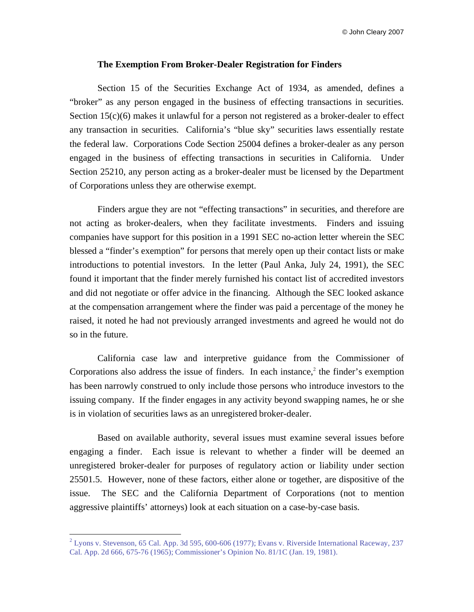© John Cleary 2007

### **The Exemption From Broker-Dealer Registration for Finders**

Section 15 of the Securities Exchange Act of 1934, as amended, defines a "broker" as any person engaged in the business of effecting transactions in securities. Section 15(c)(6) makes it unlawful for a person not registered as a broker-dealer to effect any transaction in securities. California's "blue sky" securities laws essentially restate the federal law. Corporations Code Section 25004 defines a broker-dealer as any person engaged in the business of effecting transactions in securities in California. Under Section 25210, any person acting as a broker-dealer must be licensed by the Department of Corporations unless they are otherwise exempt.

Finders argue they are not "effecting transactions" in securities, and therefore are not acting as broker-dealers, when they facilitate investments. Finders and issuing companies have support for this position in a 1991 SEC no-action letter wherein the SEC blessed a "finder's exemption" for persons that merely open up their contact lists or make introductions to potential investors. In the letter (Paul Anka, July 24, 1991), the SEC found it important that the finder merely furnished his contact list of accredited investors and did not negotiate or offer advice in the financing. Although the SEC looked askance at the compensation arrangement where the finder was paid a percentage of the money he raised, it noted he had not previously arranged investments and agreed he would not do so in the future.

California case law and interpretive guidance from the Commissioner of Corporations also address the issue of finders. In each instance, $2$  the finder's exemption has been narrowly construed to only include those persons who introduce investors to the issuing company. If the finder engages in any activity beyond swapping names, he or she is in violation of securities laws as an unregistered broker-dealer.

Based on available authority, several issues must examine several issues before engaging a finder. Each issue is relevant to whether a finder will be deemed an unregistered broker-dealer for purposes of regulatory action or liability under section 25501.5. However, none of these factors, either alone or together, are dispositive of the issue. The SEC and the California Department of Corporations (not to mention aggressive plaintiffs' attorneys) look at each situation on a case-by-case basis.

 $\overline{a}$ 

 $2$  Lyons v. Stevenson, 65 Cal. App. 3d 595, 600-606 (1977); Evans v. Riverside International Raceway, 237 Cal. App. 2d 666, 675-76 (1965); Commissioner's Opinion No. 81/1C (Jan. 19, 1981).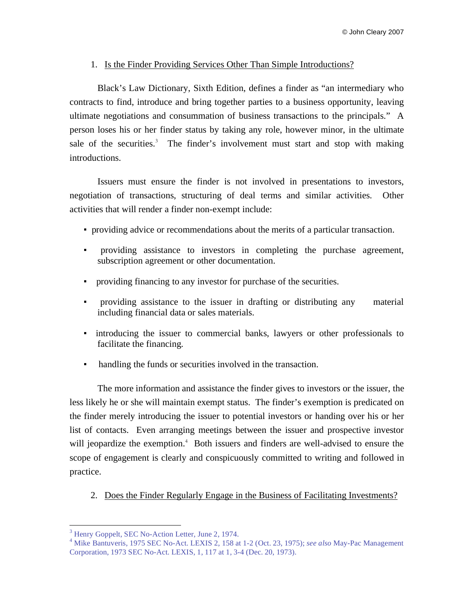## 1. Is the Finder Providing Services Other Than Simple Introductions?

Black's Law Dictionary, Sixth Edition, defines a finder as "an intermediary who contracts to find, introduce and bring together parties to a business opportunity, leaving ultimate negotiations and consummation of business transactions to the principals." A person loses his or her finder status by taking any role, however minor, in the ultimate sale of the securities.<sup>3</sup> The finder's involvement must start and stop with making introductions.

Issuers must ensure the finder is not involved in presentations to investors, negotiation of transactions, structuring of deal terms and similar activities. Other activities that will render a finder non-exempt include:

- providing advice or recommendations about the merits of a particular transaction.
- providing assistance to investors in completing the purchase agreement, subscription agreement or other documentation.
- providing financing to any investor for purchase of the securities.
- providing assistance to the issuer in drafting or distributing any material including financial data or sales materials.
- introducing the issuer to commercial banks, lawyers or other professionals to facilitate the financing.
- handling the funds or securities involved in the transaction.

The more information and assistance the finder gives to investors or the issuer, the less likely he or she will maintain exempt status. The finder's exemption is predicated on the finder merely introducing the issuer to potential investors or handing over his or her list of contacts. Even arranging meetings between the issuer and prospective investor will jeopardize the exemption.<sup>4</sup> Both issuers and finders are well-advised to ensure the scope of engagement is clearly and conspicuously committed to writing and followed in practice.

2. Does the Finder Regularly Engage in the Business of Facilitating Investments?

 $\overline{a}$ 

<sup>&</sup>lt;sup>3</sup> Henry Goppelt, SEC No-Action Letter, June 2, 1974.

<sup>4</sup> Mike Bantuveris, 1975 SEC No-Act. LEXIS 2, 158 at 1-2 (Oct. 23, 1975); *see also* May-Pac Management Corporation, 1973 SEC No-Act. LEXIS, 1, 117 at 1, 3-4 (Dec. 20, 1973).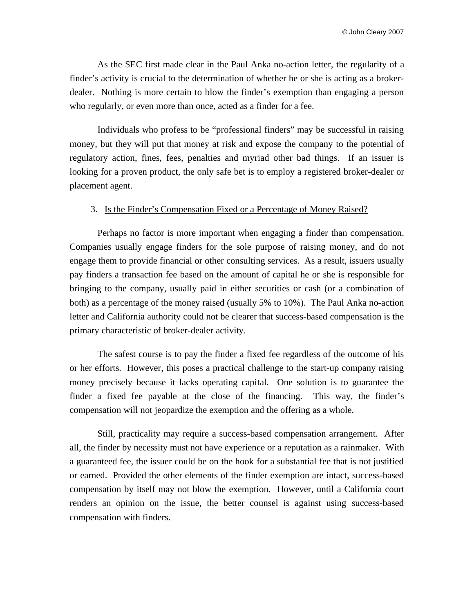As the SEC first made clear in the Paul Anka no-action letter, the regularity of a finder's activity is crucial to the determination of whether he or she is acting as a brokerdealer. Nothing is more certain to blow the finder's exemption than engaging a person who regularly, or even more than once, acted as a finder for a fee.

Individuals who profess to be "professional finders" may be successful in raising money, but they will put that money at risk and expose the company to the potential of regulatory action, fines, fees, penalties and myriad other bad things. If an issuer is looking for a proven product, the only safe bet is to employ a registered broker-dealer or placement agent.

#### 3. Is the Finder's Compensation Fixed or a Percentage of Money Raised?

Perhaps no factor is more important when engaging a finder than compensation. Companies usually engage finders for the sole purpose of raising money, and do not engage them to provide financial or other consulting services. As a result, issuers usually pay finders a transaction fee based on the amount of capital he or she is responsible for bringing to the company, usually paid in either securities or cash (or a combination of both) as a percentage of the money raised (usually 5% to 10%). The Paul Anka no-action letter and California authority could not be clearer that success-based compensation is the primary characteristic of broker-dealer activity.

The safest course is to pay the finder a fixed fee regardless of the outcome of his or her efforts. However, this poses a practical challenge to the start-up company raising money precisely because it lacks operating capital. One solution is to guarantee the finder a fixed fee payable at the close of the financing. This way, the finder's compensation will not jeopardize the exemption and the offering as a whole.

Still, practicality may require a success-based compensation arrangement. After all, the finder by necessity must not have experience or a reputation as a rainmaker. With a guaranteed fee, the issuer could be on the hook for a substantial fee that is not justified or earned. Provided the other elements of the finder exemption are intact, success-based compensation by itself may not blow the exemption. However, until a California court renders an opinion on the issue, the better counsel is against using success-based compensation with finders.